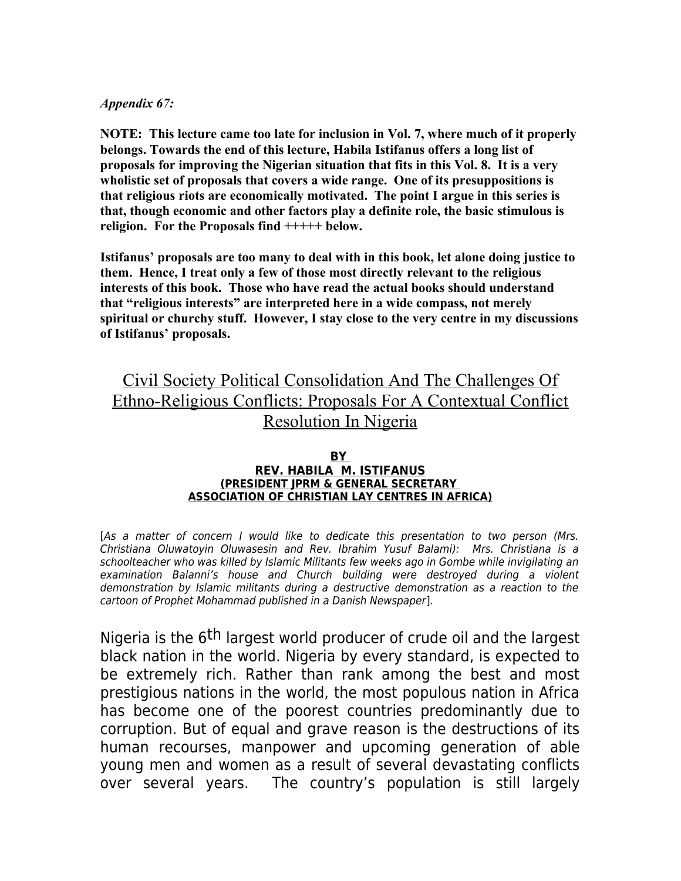### *Appendix 67:*

**NOTE: This lecture came too late for inclusion in Vol. 7, where much of it properly belongs. Towards the end of this lecture, Habila Istifanus offers a long list of proposals for improving the Nigerian situation that fits in this Vol. 8. It is a very wholistic set of proposals that covers a wide range. One of its presuppositions is that religious riots are economically motivated. The point I argue in this series is that, though economic and other factors play a definite role, the basic stimulous is religion. For the Proposals find +++++ below.**

**Istifanus' proposals are too many to deal with in this book, let alone doing justice to them. Hence, I treat only a few of those most directly relevant to the religious interests of this book. Those who have read the actual books should understand that "religious interests" are interpreted here in a wide compass, not merely spiritual or churchy stuff. However, I stay close to the very centre in my discussions of Istifanus' proposals.** 

# Civil Society Political Consolidation And The Challenges Of Ethno-Religious Conflicts: Proposals For A Contextual Conflict Resolution In Nigeria

#### **BY REV. HABILA M. ISTIFANUS (PRESIDENT JPRM & GENERAL SECRETARY ASSOCIATION OF CHRISTIAN LAY CENTRES IN AFRICA)**

[As a matter of concern I would like to dedicate this presentation to two person (Mrs. Christiana Oluwatoyin Oluwasesin and Rev. Ibrahim Yusuf Balami): Mrs. Christiana is a schoolteacher who was killed by Islamic Militants few weeks ago in Gombe while invigilating an examination Balanni's house and Church building were destroyed during a violent demonstration by Islamic militants during a destructive demonstration as a reaction to the cartoon of Prophet Mohammad published in a Danish Newspaper].

Nigeria is the 6<sup>th</sup> largest world producer of crude oil and the largest black nation in the world. Nigeria by every standard, is expected to be extremely rich. Rather than rank among the best and most prestigious nations in the world, the most populous nation in Africa has become one of the poorest countries predominantly due to corruption. But of equal and grave reason is the destructions of its human recourses, manpower and upcoming generation of able young men and women as a result of several devastating conflicts over several years. The country's population is still largely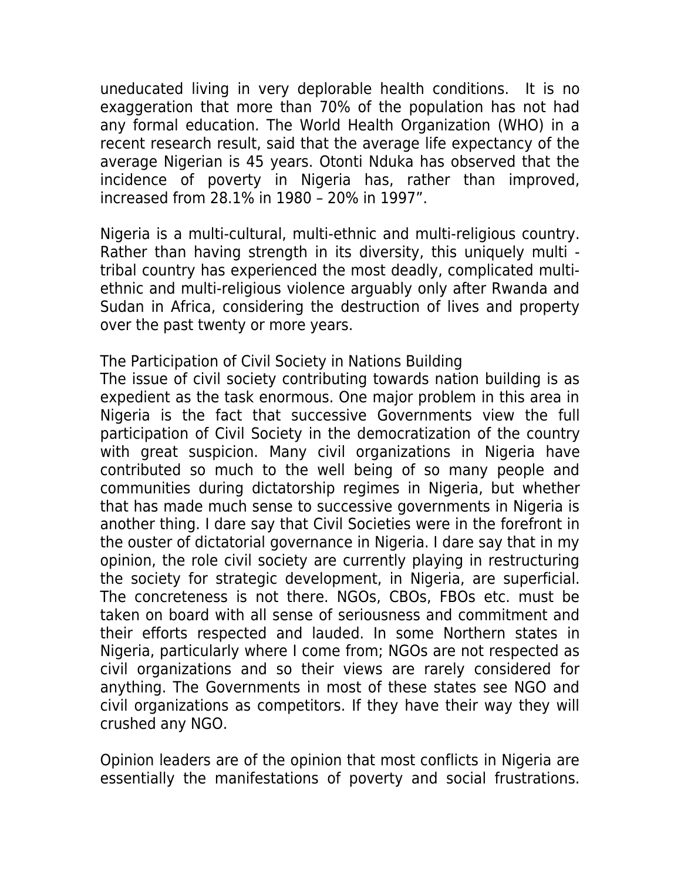uneducated living in very deplorable health conditions. It is no exaggeration that more than 70% of the population has not had any formal education. The World Health Organization (WHO) in a recent research result, said that the average life expectancy of the average Nigerian is 45 years. Otonti Nduka has observed that the incidence of poverty in Nigeria has, rather than improved, increased from 28.1% in 1980 – 20% in 1997".

Nigeria is a multi-cultural, multi-ethnic and multi-religious country. Rather than having strength in its diversity, this uniquely multi tribal country has experienced the most deadly, complicated multiethnic and multi-religious violence arguably only after Rwanda and Sudan in Africa, considering the destruction of lives and property over the past twenty or more years.

The Participation of Civil Society in Nations Building The issue of civil society contributing towards nation building is as expedient as the task enormous. One major problem in this area in Nigeria is the fact that successive Governments view the full participation of Civil Society in the democratization of the country with great suspicion. Many civil organizations in Nigeria have contributed so much to the well being of so many people and communities during dictatorship regimes in Nigeria, but whether that has made much sense to successive governments in Nigeria is another thing. I dare say that Civil Societies were in the forefront in the ouster of dictatorial governance in Nigeria. I dare say that in my opinion, the role civil society are currently playing in restructuring the society for strategic development, in Nigeria, are superficial. The concreteness is not there. NGOs, CBOs, FBOs etc. must be taken on board with all sense of seriousness and commitment and their efforts respected and lauded. In some Northern states in Nigeria, particularly where I come from; NGOs are not respected as civil organizations and so their views are rarely considered for anything. The Governments in most of these states see NGO and civil organizations as competitors. If they have their way they will crushed any NGO.

Opinion leaders are of the opinion that most conflicts in Nigeria are essentially the manifestations of poverty and social frustrations.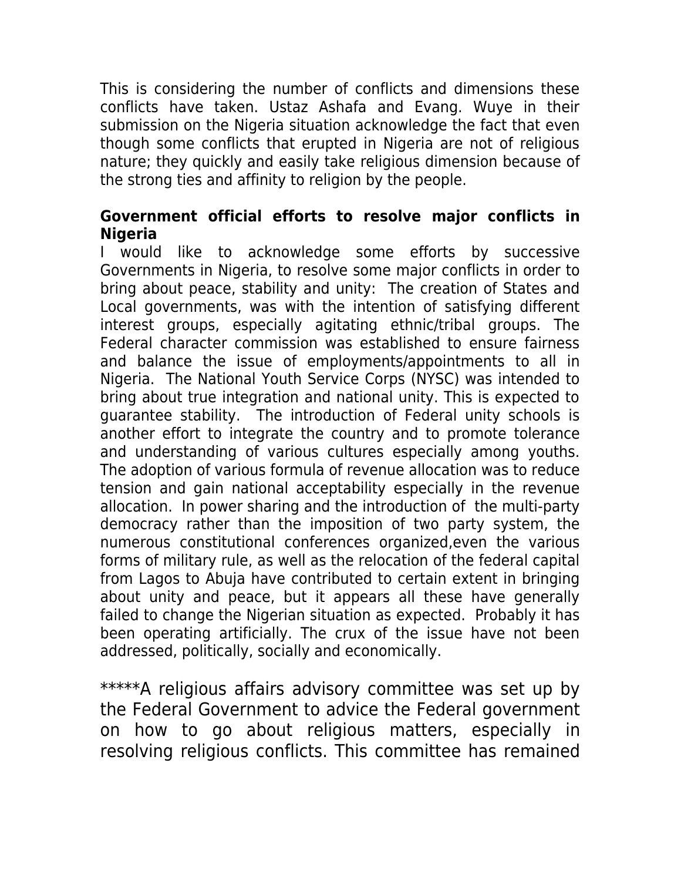This is considering the number of conflicts and dimensions these conflicts have taken. Ustaz Ashafa and Evang. Wuye in their submission on the Nigeria situation acknowledge the fact that even though some conflicts that erupted in Nigeria are not of religious nature; they quickly and easily take religious dimension because of the strong ties and affinity to religion by the people.

# **Government official efforts to resolve major conflicts in Nigeria**

I would like to acknowledge some efforts by successive Governments in Nigeria, to resolve some major conflicts in order to bring about peace, stability and unity: The creation of States and Local governments, was with the intention of satisfying different interest groups, especially agitating ethnic/tribal groups. The Federal character commission was established to ensure fairness and balance the issue of employments/appointments to all in Nigeria. The National Youth Service Corps (NYSC) was intended to bring about true integration and national unity. This is expected to guarantee stability. The introduction of Federal unity schools is another effort to integrate the country and to promote tolerance and understanding of various cultures especially among youths. The adoption of various formula of revenue allocation was to reduce tension and gain national acceptability especially in the revenue allocation. In power sharing and the introduction of the multi-party democracy rather than the imposition of two party system, the numerous constitutional conferences organized,even the various forms of military rule, as well as the relocation of the federal capital from Lagos to Abuja have contributed to certain extent in bringing about unity and peace, but it appears all these have generally failed to change the Nigerian situation as expected. Probably it has been operating artificially. The crux of the issue have not been addressed, politically, socially and economically.

\*\*\*\*\*A religious affairs advisory committee was set up by the Federal Government to advice the Federal government on how to go about religious matters, especially in resolving religious conflicts. This committee has remained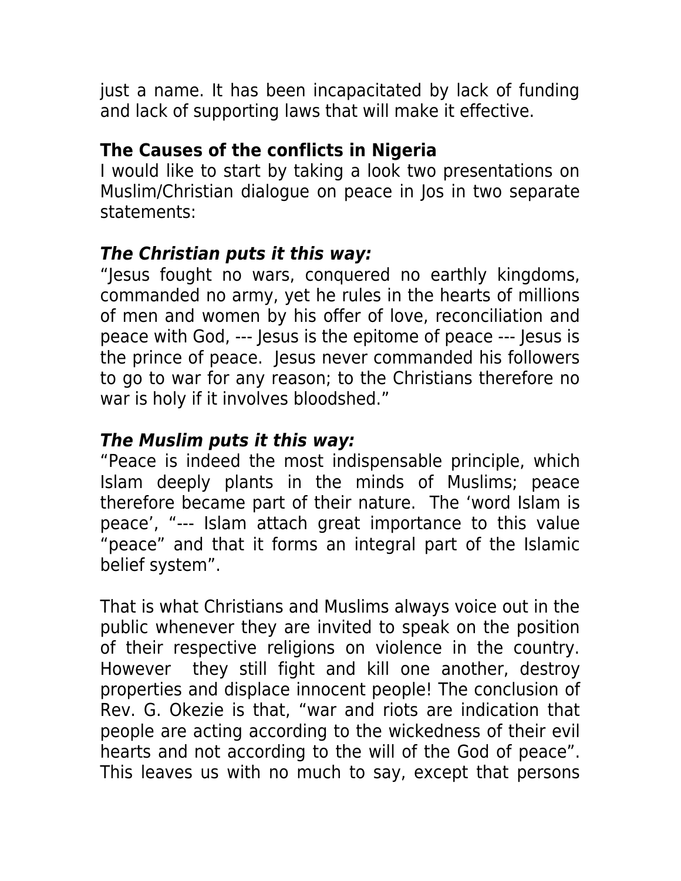just a name. It has been incapacitated by lack of funding and lack of supporting laws that will make it effective.

# **The Causes of the conflicts in Nigeria**

I would like to start by taking a look two presentations on Muslim/Christian dialogue on peace in Jos in two separate statements:

# **The Christian puts it this way:**

"Jesus fought no wars, conquered no earthly kingdoms, commanded no army, yet he rules in the hearts of millions of men and women by his offer of love, reconciliation and peace with God, --- Jesus is the epitome of peace --- Jesus is the prince of peace. Jesus never commanded his followers to go to war for any reason; to the Christians therefore no war is holy if it involves bloodshed."

# **The Muslim puts it this way:**

"Peace is indeed the most indispensable principle, which Islam deeply plants in the minds of Muslims; peace therefore became part of their nature. The 'word Islam is peace', "--- Islam attach great importance to this value "peace" and that it forms an integral part of the Islamic belief system".

That is what Christians and Muslims always voice out in the public whenever they are invited to speak on the position of their respective religions on violence in the country. However they still fight and kill one another, destroy properties and displace innocent people! The conclusion of Rev. G. Okezie is that, "war and riots are indication that people are acting according to the wickedness of their evil hearts and not according to the will of the God of peace". This leaves us with no much to say, except that persons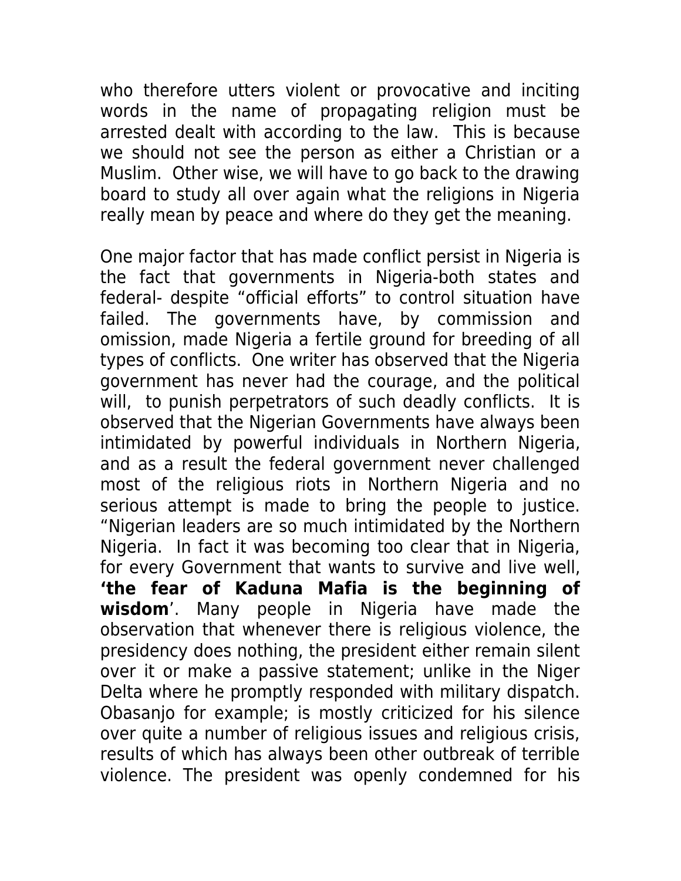who therefore utters violent or provocative and inciting words in the name of propagating religion must be arrested dealt with according to the law. This is because we should not see the person as either a Christian or a Muslim. Other wise, we will have to go back to the drawing board to study all over again what the religions in Nigeria really mean by peace and where do they get the meaning.

One major factor that has made conflict persist in Nigeria is the fact that governments in Nigeria-both states and federal- despite "official efforts" to control situation have failed. The governments have, by commission and omission, made Nigeria a fertile ground for breeding of all types of conflicts. One writer has observed that the Nigeria government has never had the courage, and the political will, to punish perpetrators of such deadly conflicts. It is observed that the Nigerian Governments have always been intimidated by powerful individuals in Northern Nigeria, and as a result the federal government never challenged most of the religious riots in Northern Nigeria and no serious attempt is made to bring the people to justice. "Nigerian leaders are so much intimidated by the Northern Nigeria. In fact it was becoming too clear that in Nigeria, for every Government that wants to survive and live well, **'the fear of Kaduna Mafia is the beginning of wisdom**'. Many people in Nigeria have made the observation that whenever there is religious violence, the presidency does nothing, the president either remain silent over it or make a passive statement; unlike in the Niger Delta where he promptly responded with military dispatch. Obasanjo for example; is mostly criticized for his silence over quite a number of religious issues and religious crisis, results of which has always been other outbreak of terrible violence. The president was openly condemned for his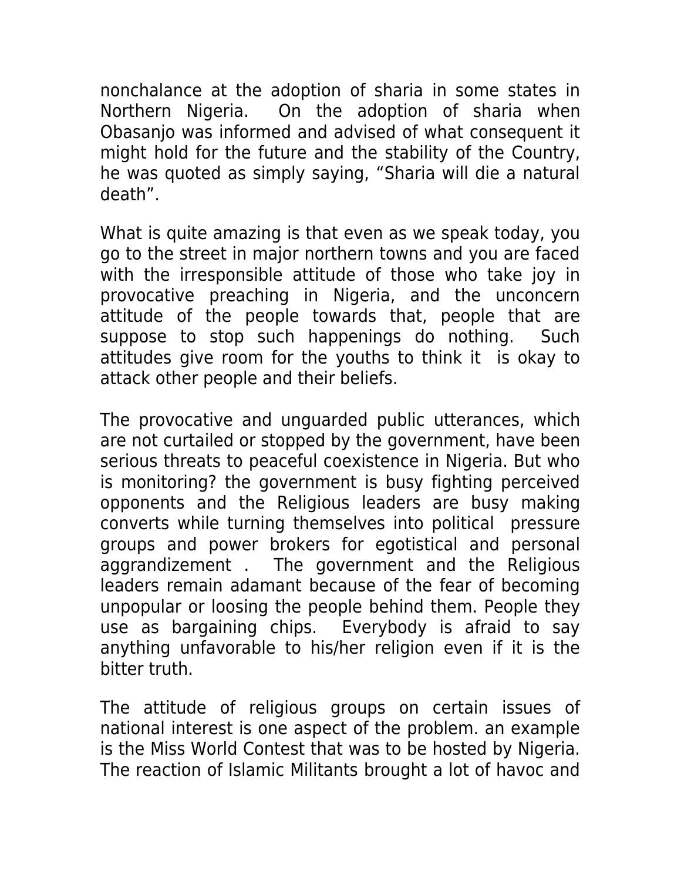nonchalance at the adoption of sharia in some states in Northern Nigeria. On the adoption of sharia when Obasanjo was informed and advised of what consequent it might hold for the future and the stability of the Country, he was quoted as simply saying, "Sharia will die a natural death".

What is quite amazing is that even as we speak today, you go to the street in major northern towns and you are faced with the irresponsible attitude of those who take joy in provocative preaching in Nigeria, and the unconcern attitude of the people towards that, people that are suppose to stop such happenings do nothing. Such attitudes give room for the youths to think it is okay to attack other people and their beliefs.

The provocative and unguarded public utterances, which are not curtailed or stopped by the government, have been serious threats to peaceful coexistence in Nigeria. But who is monitoring? the government is busy fighting perceived opponents and the Religious leaders are busy making converts while turning themselves into political pressure groups and power brokers for egotistical and personal aggrandizement . The government and the Religious leaders remain adamant because of the fear of becoming unpopular or loosing the people behind them. People they use as bargaining chips. Everybody is afraid to say anything unfavorable to his/her religion even if it is the bitter truth.

The attitude of religious groups on certain issues of national interest is one aspect of the problem. an example is the Miss World Contest that was to be hosted by Nigeria. The reaction of Islamic Militants brought a lot of havoc and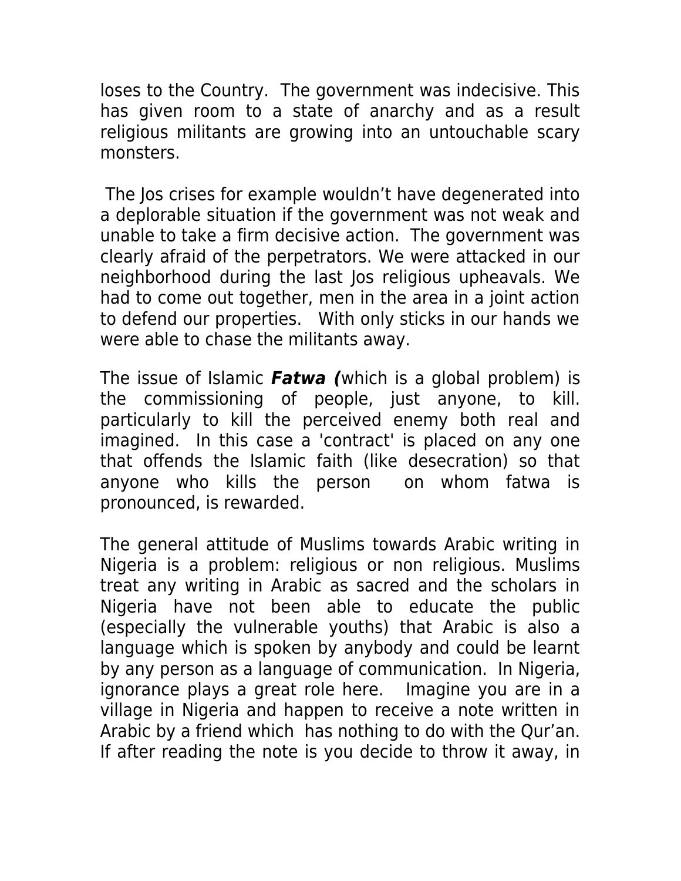loses to the Country. The government was indecisive. This has given room to a state of anarchy and as a result religious militants are growing into an untouchable scary monsters.

 The Jos crises for example wouldn't have degenerated into a deplorable situation if the government was not weak and unable to take a firm decisive action. The government was clearly afraid of the perpetrators. We were attacked in our neighborhood during the last Jos religious upheavals. We had to come out together, men in the area in a joint action to defend our properties. With only sticks in our hands we were able to chase the militants away.

The issue of Islamic **Fatwa (**which is a global problem) is the commissioning of people, just anyone, to kill. particularly to kill the perceived enemy both real and imagined. In this case a 'contract' is placed on any one that offends the Islamic faith (like desecration) so that anyone who kills the person on whom fatwa is pronounced, is rewarded.

The general attitude of Muslims towards Arabic writing in Nigeria is a problem: religious or non religious. Muslims treat any writing in Arabic as sacred and the scholars in Nigeria have not been able to educate the public (especially the vulnerable youths) that Arabic is also a language which is spoken by anybody and could be learnt by any person as a language of communication. In Nigeria, ignorance plays a great role here. Imagine you are in a village in Nigeria and happen to receive a note written in Arabic by a friend which has nothing to do with the Qur'an. If after reading the note is you decide to throw it away, in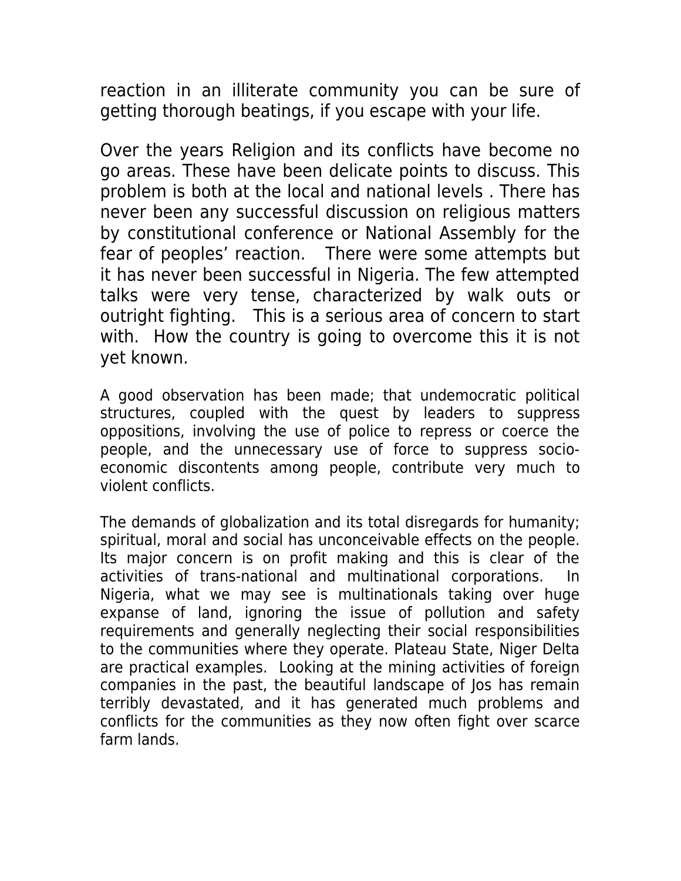reaction in an illiterate community you can be sure of getting thorough beatings, if you escape with your life.

Over the years Religion and its conflicts have become no go areas. These have been delicate points to discuss. This problem is both at the local and national levels . There has never been any successful discussion on religious matters by constitutional conference or National Assembly for the fear of peoples' reaction. There were some attempts but it has never been successful in Nigeria. The few attempted talks were very tense, characterized by walk outs or outright fighting. This is a serious area of concern to start with. How the country is going to overcome this it is not yet known.

A good observation has been made; that undemocratic political structures, coupled with the quest by leaders to suppress oppositions, involving the use of police to repress or coerce the people, and the unnecessary use of force to suppress socioeconomic discontents among people, contribute very much to violent conflicts.

The demands of globalization and its total disregards for humanity; spiritual, moral and social has unconceivable effects on the people. Its major concern is on profit making and this is clear of the activities of trans-national and multinational corporations. In Nigeria, what we may see is multinationals taking over huge expanse of land, ignoring the issue of pollution and safety requirements and generally neglecting their social responsibilities to the communities where they operate. Plateau State, Niger Delta are practical examples. Looking at the mining activities of foreign companies in the past, the beautiful landscape of Jos has remain terribly devastated, and it has generated much problems and conflicts for the communities as they now often fight over scarce farm lands.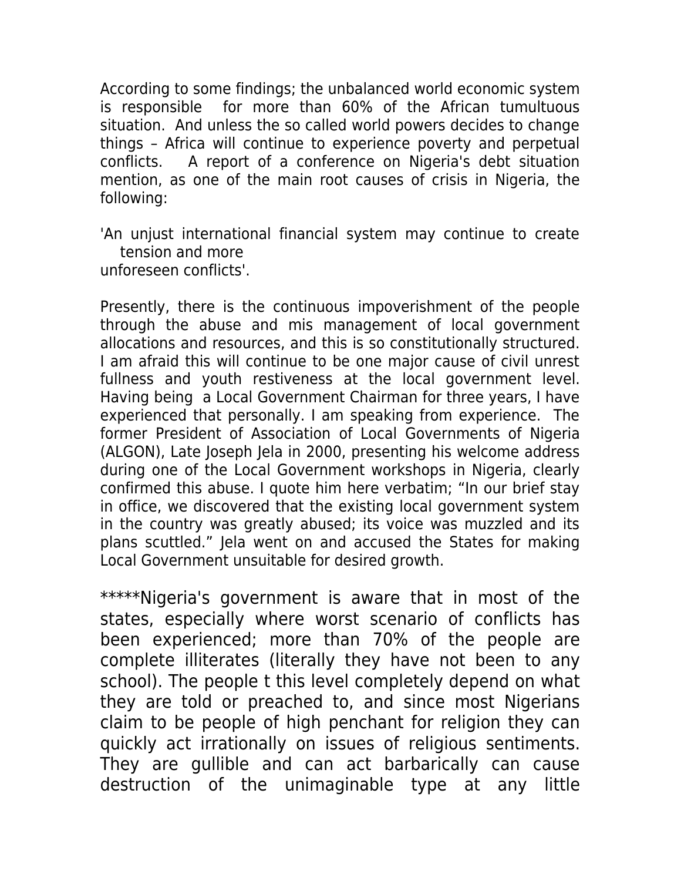According to some findings; the unbalanced world economic system is responsible for more than 60% of the African tumultuous situation. And unless the so called world powers decides to change things – Africa will continue to experience poverty and perpetual conflicts. A report of a conference on Nigeria's debt situation mention, as one of the main root causes of crisis in Nigeria, the following:

'An unjust international financial system may continue to create tension and more

unforeseen conflicts'.

Presently, there is the continuous impoverishment of the people through the abuse and mis management of local government allocations and resources, and this is so constitutionally structured. I am afraid this will continue to be one major cause of civil unrest fullness and youth restiveness at the local government level. Having being a Local Government Chairman for three years, I have experienced that personally. I am speaking from experience. The former President of Association of Local Governments of Nigeria (ALGON), Late Joseph Jela in 2000, presenting his welcome address during one of the Local Government workshops in Nigeria, clearly confirmed this abuse. I quote him here verbatim; "In our brief stay in office, we discovered that the existing local government system in the country was greatly abused; its voice was muzzled and its plans scuttled." Jela went on and accused the States for making Local Government unsuitable for desired growth.

\*\*\*\*\*Nigeria's government is aware that in most of the states, especially where worst scenario of conflicts has been experienced; more than 70% of the people are complete illiterates (literally they have not been to any school). The people t this level completely depend on what they are told or preached to, and since most Nigerians claim to be people of high penchant for religion they can quickly act irrationally on issues of religious sentiments. They are gullible and can act barbarically can cause destruction of the unimaginable type at any little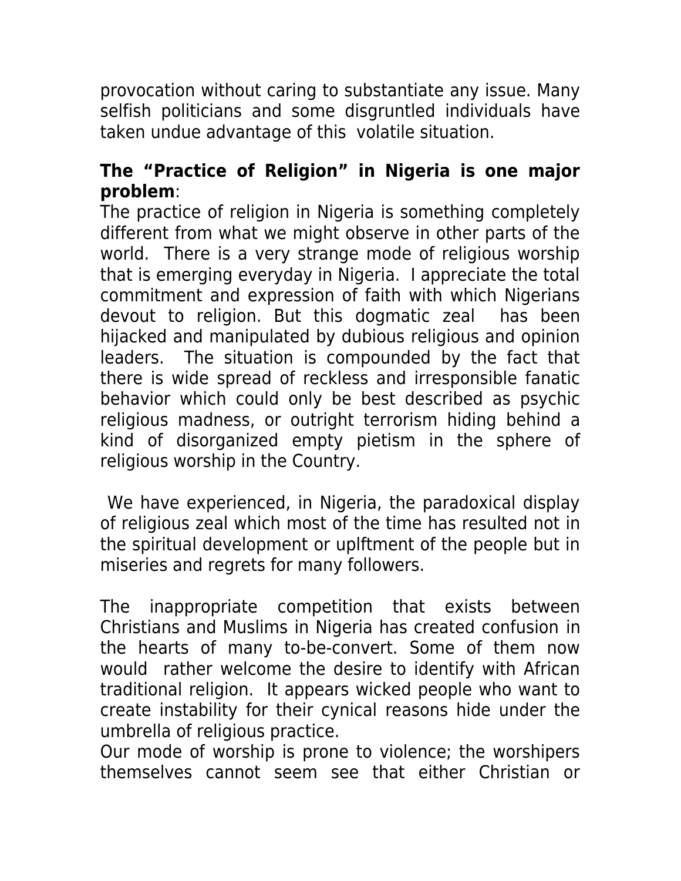provocation without caring to substantiate any issue. Many selfish politicians and some disgruntled individuals have taken undue advantage of this volatile situation.

# **The "Practice of Religion" in Nigeria is one major problem**:

The practice of religion in Nigeria is something completely different from what we might observe in other parts of the world. There is a very strange mode of religious worship that is emerging everyday in Nigeria. I appreciate the total commitment and expression of faith with which Nigerians devout to religion. But this dogmatic zeal has been hijacked and manipulated by dubious religious and opinion leaders. The situation is compounded by the fact that there is wide spread of reckless and irresponsible fanatic behavior which could only be best described as psychic religious madness, or outright terrorism hiding behind a kind of disorganized empty pietism in the sphere of religious worship in the Country.

 We have experienced, in Nigeria, the paradoxical display of religious zeal which most of the time has resulted not in the spiritual development or uplftment of the people but in miseries and regrets for many followers.

The inappropriate competition that exists between Christians and Muslims in Nigeria has created confusion in the hearts of many to-be-convert. Some of them now would rather welcome the desire to identify with African traditional religion. It appears wicked people who want to create instability for their cynical reasons hide under the umbrella of religious practice.

Our mode of worship is prone to violence; the worshipers themselves cannot seem see that either Christian or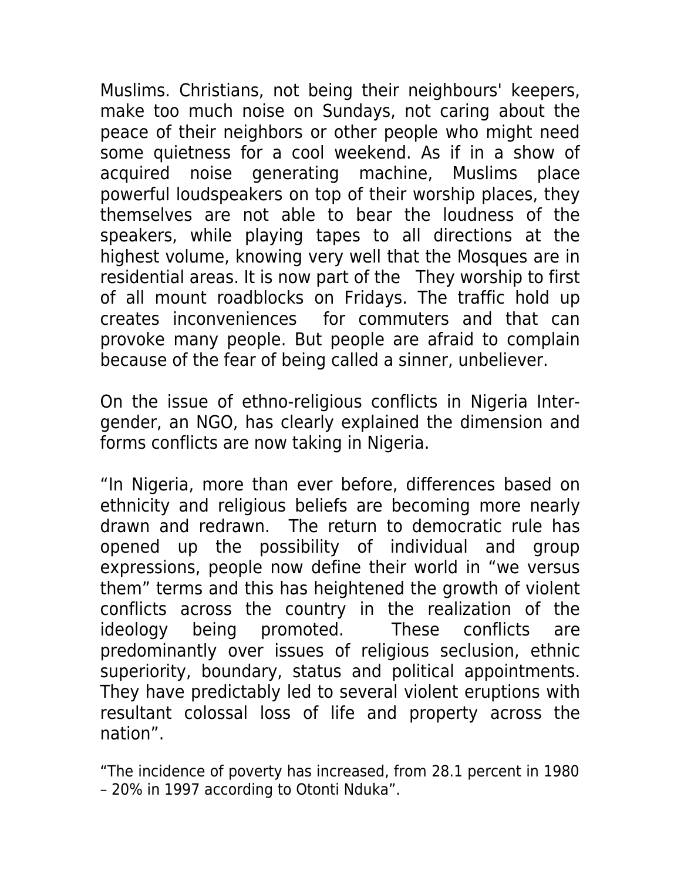Muslims. Christians, not being their neighbours' keepers, make too much noise on Sundays, not caring about the peace of their neighbors or other people who might need some quietness for a cool weekend. As if in a show of acquired noise generating machine, Muslims place powerful loudspeakers on top of their worship places, they themselves are not able to bear the loudness of the speakers, while playing tapes to all directions at the highest volume, knowing very well that the Mosques are in residential areas. It is now part of the They worship to first of all mount roadblocks on Fridays. The traffic hold up creates inconveniences for commuters and that can provoke many people. But people are afraid to complain because of the fear of being called a sinner, unbeliever.

On the issue of ethno-religious conflicts in Nigeria Intergender, an NGO, has clearly explained the dimension and forms conflicts are now taking in Nigeria.

"In Nigeria, more than ever before, differences based on ethnicity and religious beliefs are becoming more nearly drawn and redrawn. The return to democratic rule has opened up the possibility of individual and group expressions, people now define their world in "we versus them" terms and this has heightened the growth of violent conflicts across the country in the realization of the ideology being promoted. These conflicts are predominantly over issues of religious seclusion, ethnic superiority, boundary, status and political appointments. They have predictably led to several violent eruptions with resultant colossal loss of life and property across the nation".

"The incidence of poverty has increased, from 28.1 percent in 1980 – 20% in 1997 according to Otonti Nduka".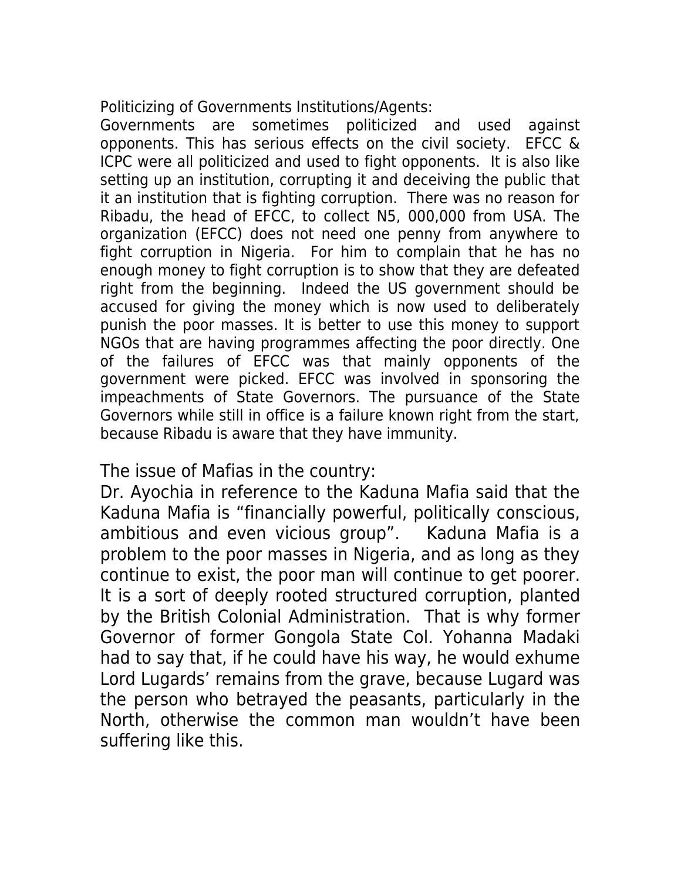Politicizing of Governments Institutions/Agents:

Governments are sometimes politicized and used against opponents. This has serious effects on the civil society. EFCC & ICPC were all politicized and used to fight opponents. It is also like setting up an institution, corrupting it and deceiving the public that it an institution that is fighting corruption. There was no reason for Ribadu, the head of EFCC, to collect N5, 000,000 from USA. The organization (EFCC) does not need one penny from anywhere to fight corruption in Nigeria. For him to complain that he has no enough money to fight corruption is to show that they are defeated right from the beginning. Indeed the US government should be accused for giving the money which is now used to deliberately punish the poor masses. It is better to use this money to support NGOs that are having programmes affecting the poor directly. One of the failures of EFCC was that mainly opponents of the government were picked. EFCC was involved in sponsoring the impeachments of State Governors. The pursuance of the State Governors while still in office is a failure known right from the start, because Ribadu is aware that they have immunity.

The issue of Mafias in the country:

Dr. Ayochia in reference to the Kaduna Mafia said that the Kaduna Mafia is "financially powerful, politically conscious, ambitious and even vicious group". Kaduna Mafia is a problem to the poor masses in Nigeria, and as long as they continue to exist, the poor man will continue to get poorer. It is a sort of deeply rooted structured corruption, planted by the British Colonial Administration. That is why former Governor of former Gongola State Col. Yohanna Madaki had to say that, if he could have his way, he would exhume Lord Lugards' remains from the grave, because Lugard was the person who betrayed the peasants, particularly in the North, otherwise the common man wouldn't have been suffering like this.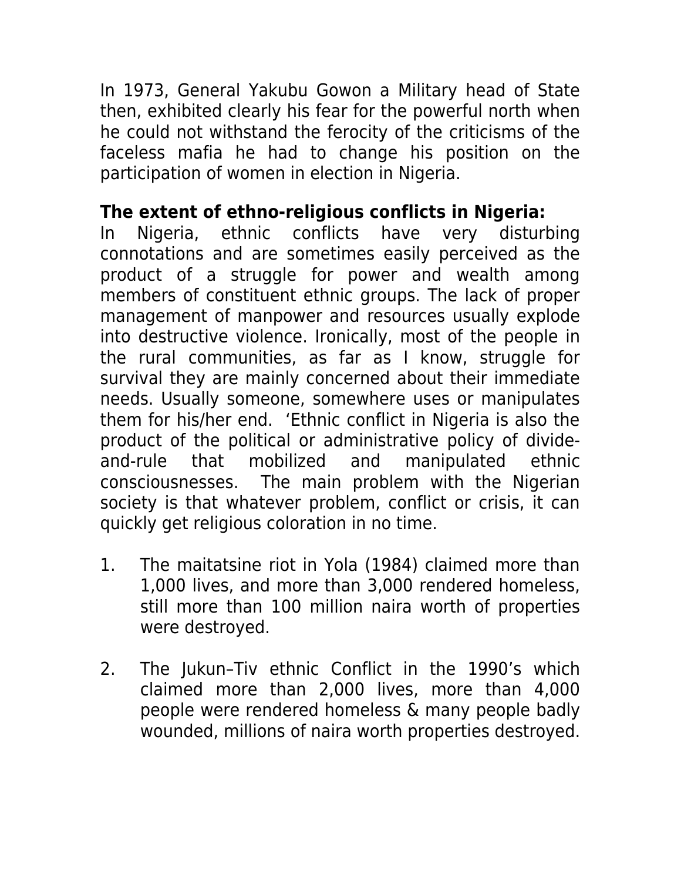In 1973, General Yakubu Gowon a Military head of State then, exhibited clearly his fear for the powerful north when he could not withstand the ferocity of the criticisms of the faceless mafia he had to change his position on the participation of women in election in Nigeria.

# **The extent of ethno-religious conflicts in Nigeria:**

In Nigeria, ethnic conflicts have very disturbing connotations and are sometimes easily perceived as the product of a struggle for power and wealth among members of constituent ethnic groups. The lack of proper management of manpower and resources usually explode into destructive violence. Ironically, most of the people in the rural communities, as far as I know, struggle for survival they are mainly concerned about their immediate needs. Usually someone, somewhere uses or manipulates them for his/her end. 'Ethnic conflict in Nigeria is also the product of the political or administrative policy of divideand-rule that mobilized and manipulated ethnic consciousnesses. The main problem with the Nigerian society is that whatever problem, conflict or crisis, it can quickly get religious coloration in no time.

- 1. The maitatsine riot in Yola (1984) claimed more than 1,000 lives, and more than 3,000 rendered homeless, still more than 100 million naira worth of properties were destroyed.
- 2. The Jukun–Tiv ethnic Conflict in the 1990's which claimed more than 2,000 lives, more than 4,000 people were rendered homeless & many people badly wounded, millions of naira worth properties destroyed.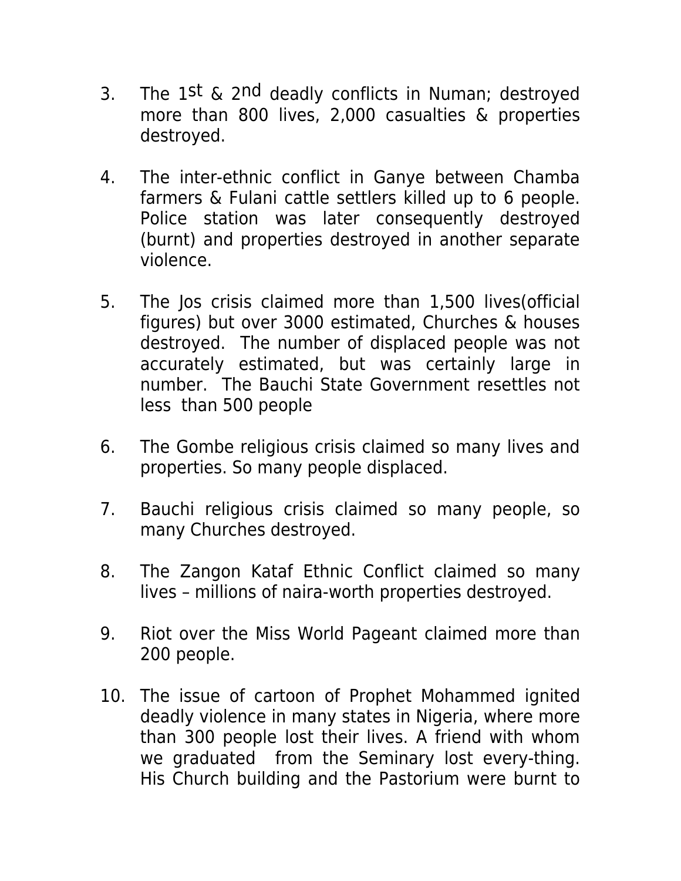- 3. The 1st  $\&$  2nd deadly conflicts in Numan; destroyed more than 800 lives, 2,000 casualties & properties destroyed.
- 4. The inter-ethnic conflict in Ganye between Chamba farmers & Fulani cattle settlers killed up to 6 people. Police station was later consequently destroyed (burnt) and properties destroyed in another separate violence.
- 5. The Jos crisis claimed more than 1,500 lives(official figures) but over 3000 estimated, Churches & houses destroyed. The number of displaced people was not accurately estimated, but was certainly large in number. The Bauchi State Government resettles not less than 500 people
- 6. The Gombe religious crisis claimed so many lives and properties. So many people displaced.
- 7. Bauchi religious crisis claimed so many people, so many Churches destroyed.
- 8. The Zangon Kataf Ethnic Conflict claimed so many lives – millions of naira-worth properties destroyed.
- 9. Riot over the Miss World Pageant claimed more than 200 people.
- 10. The issue of cartoon of Prophet Mohammed ignited deadly violence in many states in Nigeria, where more than 300 people lost their lives. A friend with whom we graduated from the Seminary lost every-thing. His Church building and the Pastorium were burnt to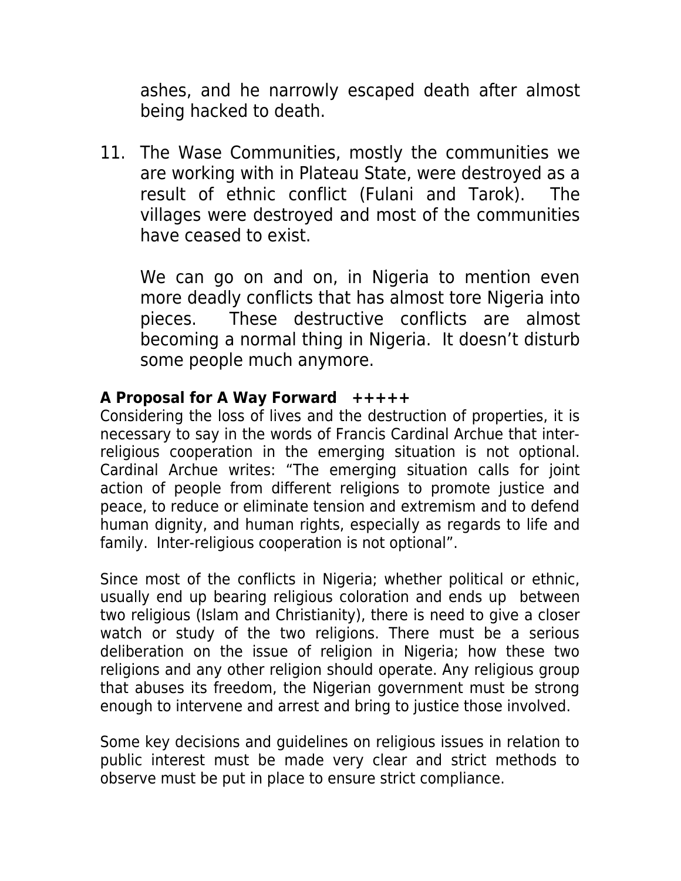ashes, and he narrowly escaped death after almost being hacked to death.

11. The Wase Communities, mostly the communities we are working with in Plateau State, were destroyed as a result of ethnic conflict (Fulani and Tarok). The villages were destroyed and most of the communities have ceased to exist.

We can go on and on, in Nigeria to mention even more deadly conflicts that has almost tore Nigeria into pieces. These destructive conflicts are almost becoming a normal thing in Nigeria. It doesn't disturb some people much anymore.

## **A Proposal for A Way Forward +++++**

Considering the loss of lives and the destruction of properties, it is necessary to say in the words of Francis Cardinal Archue that interreligious cooperation in the emerging situation is not optional. Cardinal Archue writes: "The emerging situation calls for joint action of people from different religions to promote justice and peace, to reduce or eliminate tension and extremism and to defend human dignity, and human rights, especially as regards to life and family. Inter-religious cooperation is not optional".

Since most of the conflicts in Nigeria; whether political or ethnic, usually end up bearing religious coloration and ends up between two religious (Islam and Christianity), there is need to give a closer watch or study of the two religions. There must be a serious deliberation on the issue of religion in Nigeria; how these two religions and any other religion should operate. Any religious group that abuses its freedom, the Nigerian government must be strong enough to intervene and arrest and bring to justice those involved.

Some key decisions and guidelines on religious issues in relation to public interest must be made very clear and strict methods to observe must be put in place to ensure strict compliance.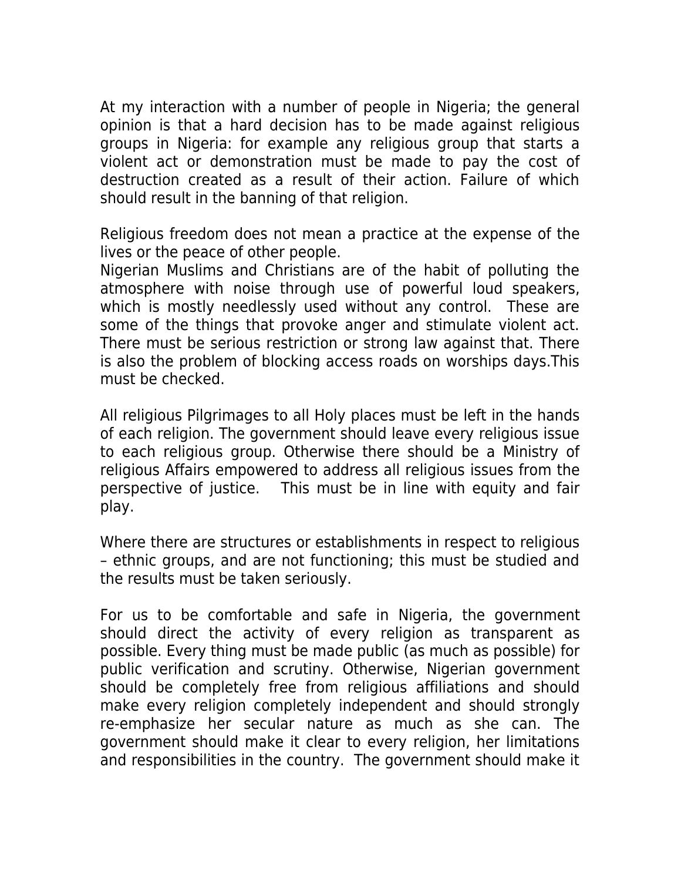At my interaction with a number of people in Nigeria; the general opinion is that a hard decision has to be made against religious groups in Nigeria: for example any religious group that starts a violent act or demonstration must be made to pay the cost of destruction created as a result of their action. Failure of which should result in the banning of that religion.

Religious freedom does not mean a practice at the expense of the lives or the peace of other people.

Nigerian Muslims and Christians are of the habit of polluting the atmosphere with noise through use of powerful loud speakers, which is mostly needlessly used without any control. These are some of the things that provoke anger and stimulate violent act. There must be serious restriction or strong law against that. There is also the problem of blocking access roads on worships days.This must be checked.

All religious Pilgrimages to all Holy places must be left in the hands of each religion. The government should leave every religious issue to each religious group. Otherwise there should be a Ministry of religious Affairs empowered to address all religious issues from the perspective of justice. This must be in line with equity and fair play.

Where there are structures or establishments in respect to religious – ethnic groups, and are not functioning; this must be studied and the results must be taken seriously.

For us to be comfortable and safe in Nigeria, the government should direct the activity of every religion as transparent as possible. Every thing must be made public (as much as possible) for public verification and scrutiny. Otherwise, Nigerian government should be completely free from religious affiliations and should make every religion completely independent and should strongly re-emphasize her secular nature as much as she can. The government should make it clear to every religion, her limitations and responsibilities in the country. The government should make it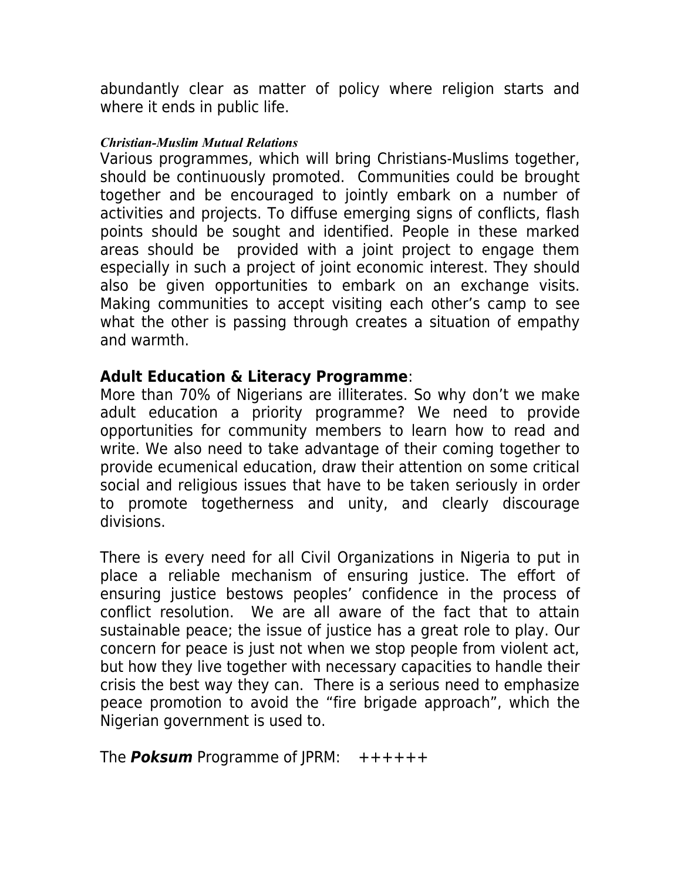abundantly clear as matter of policy where religion starts and where it ends in public life.

### *Christian-Muslim Mutual Relations*

Various programmes, which will bring Christians-Muslims together, should be continuously promoted. Communities could be brought together and be encouraged to jointly embark on a number of activities and projects. To diffuse emerging signs of conflicts, flash points should be sought and identified. People in these marked areas should be provided with a joint project to engage them especially in such a project of joint economic interest. They should also be given opportunities to embark on an exchange visits. Making communities to accept visiting each other's camp to see what the other is passing through creates a situation of empathy and warmth.

## **Adult Education & Literacy Programme**:

More than 70% of Nigerians are illiterates. So why don't we make adult education a priority programme? We need to provide opportunities for community members to learn how to read and write. We also need to take advantage of their coming together to provide ecumenical education, draw their attention on some critical social and religious issues that have to be taken seriously in order to promote togetherness and unity, and clearly discourage divisions.

There is every need for all Civil Organizations in Nigeria to put in place a reliable mechanism of ensuring justice. The effort of ensuring justice bestows peoples' confidence in the process of conflict resolution. We are all aware of the fact that to attain sustainable peace; the issue of justice has a great role to play. Our concern for peace is just not when we stop people from violent act, but how they live together with necessary capacities to handle their crisis the best way they can. There is a serious need to emphasize peace promotion to avoid the "fire brigade approach", which the Nigerian government is used to.

The **Poksum** Programme of JPRM: ++++++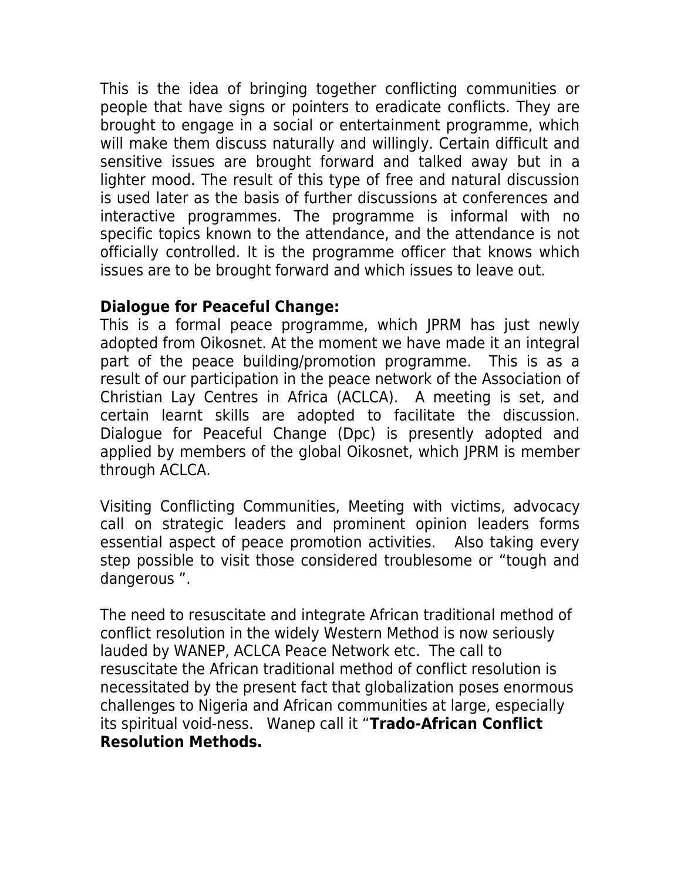This is the idea of bringing together conflicting communities or people that have signs or pointers to eradicate conflicts. They are brought to engage in a social or entertainment programme, which will make them discuss naturally and willingly. Certain difficult and sensitive issues are brought forward and talked away but in a lighter mood. The result of this type of free and natural discussion is used later as the basis of further discussions at conferences and interactive programmes. The programme is informal with no specific topics known to the attendance, and the attendance is not officially controlled. It is the programme officer that knows which issues are to be brought forward and which issues to leave out.

# **Dialogue for Peaceful Change:**

This is a formal peace programme, which JPRM has just newly adopted from Oikosnet. At the moment we have made it an integral part of the peace building/promotion programme. This is as a result of our participation in the peace network of the Association of Christian Lay Centres in Africa (ACLCA). A meeting is set, and certain learnt skills are adopted to facilitate the discussion. Dialogue for Peaceful Change (Dpc) is presently adopted and applied by members of the global Oikosnet, which JPRM is member through ACLCA.

Visiting Conflicting Communities, Meeting with victims, advocacy call on strategic leaders and prominent opinion leaders forms essential aspect of peace promotion activities. Also taking every step possible to visit those considered troublesome or "tough and dangerous ".

The need to resuscitate and integrate African traditional method of conflict resolution in the widely Western Method is now seriously lauded by WANEP, ACLCA Peace Network etc. The call to resuscitate the African traditional method of conflict resolution is necessitated by the present fact that globalization poses enormous challenges to Nigeria and African communities at large, especially its spiritual void-ness. Wanep call it "**Trado-African Conflict Resolution Methods.**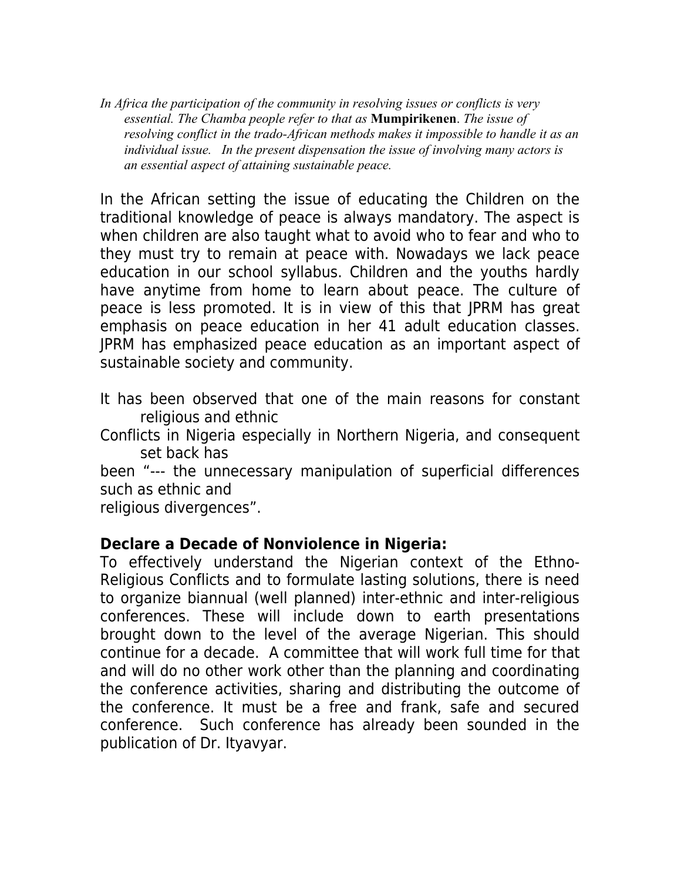*In Africa the participation of the community in resolving issues or conflicts is very essential. The Chamba people refer to that as* **Mumpirikenen**. *The issue of resolving conflict in the trado-African methods makes it impossible to handle it as an individual issue. In the present dispensation the issue of involving many actors is an essential aspect of attaining sustainable peace.*

In the African setting the issue of educating the Children on the traditional knowledge of peace is always mandatory. The aspect is when children are also taught what to avoid who to fear and who to they must try to remain at peace with. Nowadays we lack peace education in our school syllabus. Children and the youths hardly have anytime from home to learn about peace. The culture of peace is less promoted. It is in view of this that JPRM has great emphasis on peace education in her 41 adult education classes. JPRM has emphasized peace education as an important aspect of sustainable society and community.

It has been observed that one of the main reasons for constant religious and ethnic

Conflicts in Nigeria especially in Northern Nigeria, and consequent set back has

been "--- the unnecessary manipulation of superficial differences such as ethnic and

religious divergences".

## **Declare a Decade of Nonviolence in Nigeria:**

To effectively understand the Nigerian context of the Ethno-Religious Conflicts and to formulate lasting solutions, there is need to organize biannual (well planned) inter-ethnic and inter-religious conferences. These will include down to earth presentations brought down to the level of the average Nigerian. This should continue for a decade. A committee that will work full time for that and will do no other work other than the planning and coordinating the conference activities, sharing and distributing the outcome of the conference. It must be a free and frank, safe and secured conference. Such conference has already been sounded in the publication of Dr. Ityavyar.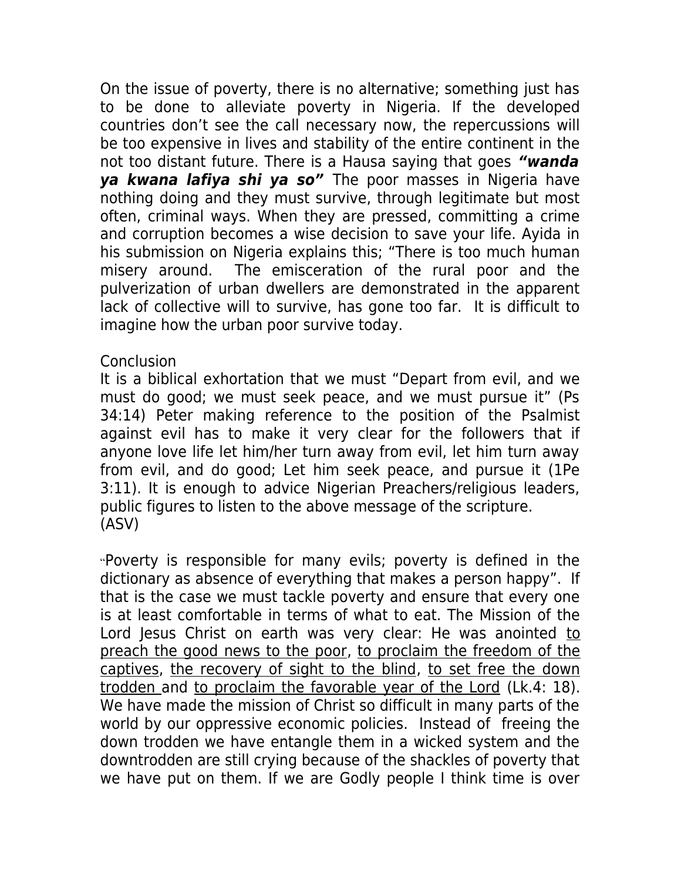On the issue of poverty, there is no alternative; something just has to be done to alleviate poverty in Nigeria. If the developed countries don't see the call necessary now, the repercussions will be too expensive in lives and stability of the entire continent in the not too distant future. There is a Hausa saying that goes **"wanda ya kwana lafiya shi ya so"** The poor masses in Nigeria have nothing doing and they must survive, through legitimate but most often, criminal ways. When they are pressed, committing a crime and corruption becomes a wise decision to save your life. Ayida in his submission on Nigeria explains this; "There is too much human misery around. The emisceration of the rural poor and the pulverization of urban dwellers are demonstrated in the apparent lack of collective will to survive, has gone too far. It is difficult to imagine how the urban poor survive today.

## Conclusion

It is a biblical exhortation that we must "Depart from evil, and we must do good; we must seek peace, and we must pursue it" (Ps 34:14) Peter making reference to the position of the Psalmist against evil has to make it very clear for the followers that if anyone love life let him/her turn away from evil, let him turn away from evil, and do good; Let him seek peace, and pursue it (1Pe 3:11). It is enough to advice Nigerian Preachers/religious leaders, public figures to listen to the above message of the scripture. (ASV)

"Poverty is responsible for many evils; poverty is defined in the dictionary as absence of everything that makes a person happy". If that is the case we must tackle poverty and ensure that every one is at least comfortable in terms of what to eat. The Mission of the Lord Jesus Christ on earth was very clear: He was anointed to preach the good news to the poor, to proclaim the freedom of the captives, the recovery of sight to the blind, to set free the down trodden and to proclaim the favorable year of the Lord (Lk.4: 18). We have made the mission of Christ so difficult in many parts of the world by our oppressive economic policies. Instead of freeing the down trodden we have entangle them in a wicked system and the downtrodden are still crying because of the shackles of poverty that we have put on them. If we are Godly people I think time is over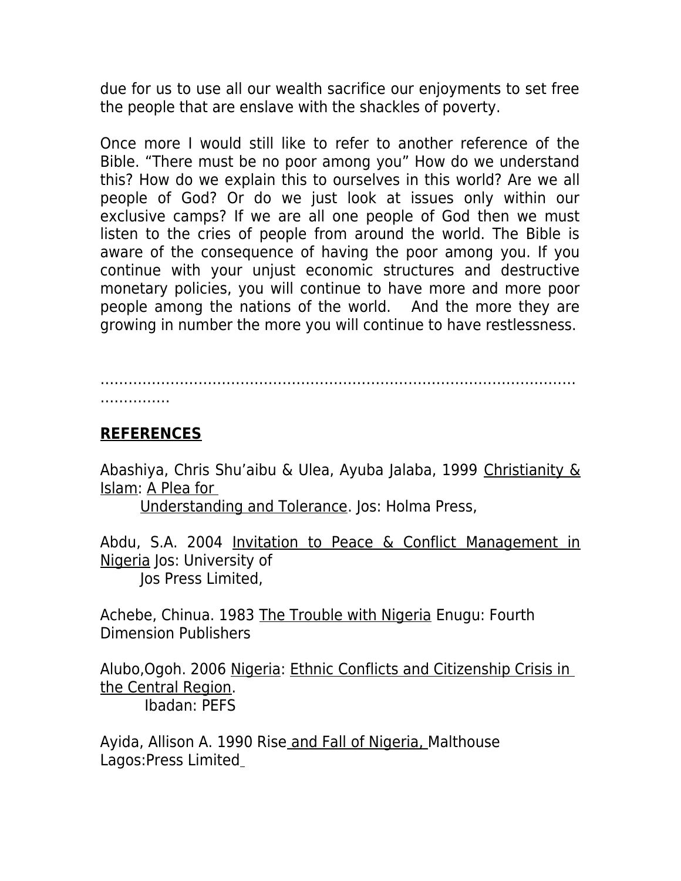due for us to use all our wealth sacrifice our enjoyments to set free the people that are enslave with the shackles of poverty.

Once more I would still like to refer to another reference of the Bible. "There must be no poor among you" How do we understand this? How do we explain this to ourselves in this world? Are we all people of God? Or do we just look at issues only within our exclusive camps? If we are all one people of God then we must listen to the cries of people from around the world. The Bible is aware of the consequence of having the poor among you. If you continue with your unjust economic structures and destructive monetary policies, you will continue to have more and more poor people among the nations of the world. And the more they are growing in number the more you will continue to have restlessness.

………………………………………………………………………………………… . . . . . . . . . . . . . .

# **REFERENCES**

Abashiya, Chris Shu'aibu & Ulea, Ayuba Jalaba, 1999 Christianity & Islam: A Plea for

Understanding and Tolerance. Jos: Holma Press,

Abdu, S.A. 2004 Invitation to Peace & Conflict Management in Nigeria Jos: University of Jos Press Limited,

Achebe, Chinua. 1983 The Trouble with Nigeria Enugu: Fourth Dimension Publishers

Alubo,Ogoh. 2006 Nigeria: Ethnic Conflicts and Citizenship Crisis in the Central Region. Ibadan: PEFS

Ayida, Allison A. 1990 Rise and Fall of Nigeria, Malthouse Lagos:Press Limited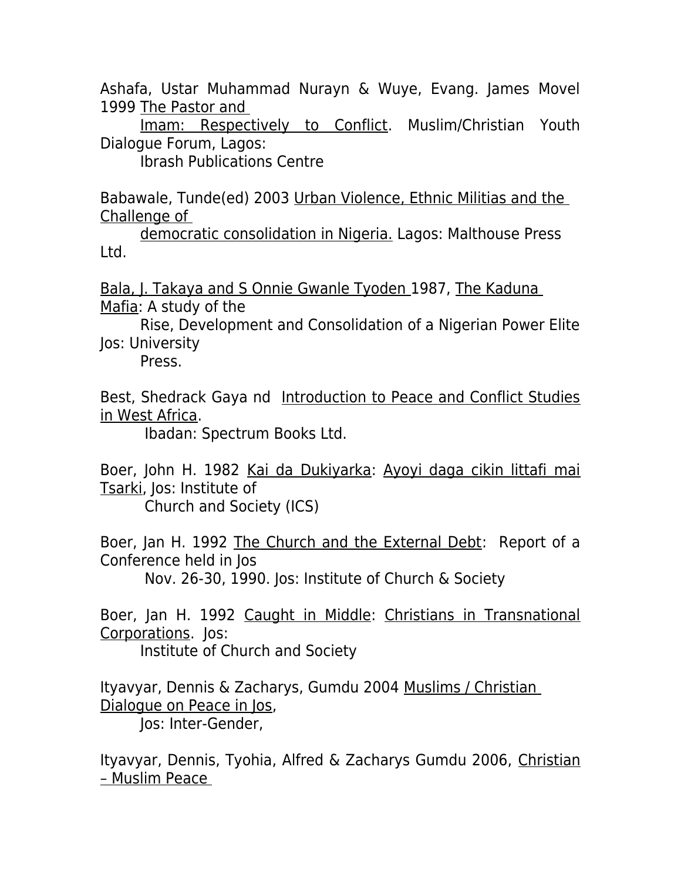Ashafa, Ustar Muhammad Nurayn & Wuye, Evang. James Movel 1999 The Pastor and

Imam: Respectively to Conflict. Muslim/Christian Youth Dialogue Forum, Lagos:

Ibrash Publications Centre

Babawale, Tunde(ed) 2003 Urban Violence, Ethnic Militias and the Challenge of

democratic consolidation in Nigeria. Lagos: Malthouse Press Ltd.

Bala, J. Takaya and S Onnie Gwanle Tyoden 1987, The Kaduna Mafia: A study of the

Rise, Development and Consolidation of a Nigerian Power Elite Jos: University

Press.

Best, Shedrack Gaya nd Introduction to Peace and Conflict Studies in West Africa.

Ibadan: Spectrum Books Ltd.

Boer, John H. 1982 Kai da Dukiyarka: Ayoyi daga cikin littafi mai Tsarki, Jos: Institute of

Church and Society (ICS)

Boer, Jan H. 1992 The Church and the External Debt: Report of a Conference held in Jos

Nov. 26-30, 1990. Jos: Institute of Church & Society

Boer, Jan H. 1992 Caught in Middle: Christians in Transnational Corporations. Jos:

Institute of Church and Society

Ityavyar, Dennis & Zacharys, Gumdu 2004 Muslims / Christian Dialogue on Peace in Jos,

Jos: Inter-Gender,

Ityavyar, Dennis, Tyohia, Alfred & Zacharys Gumdu 2006, Christian – Muslim Peace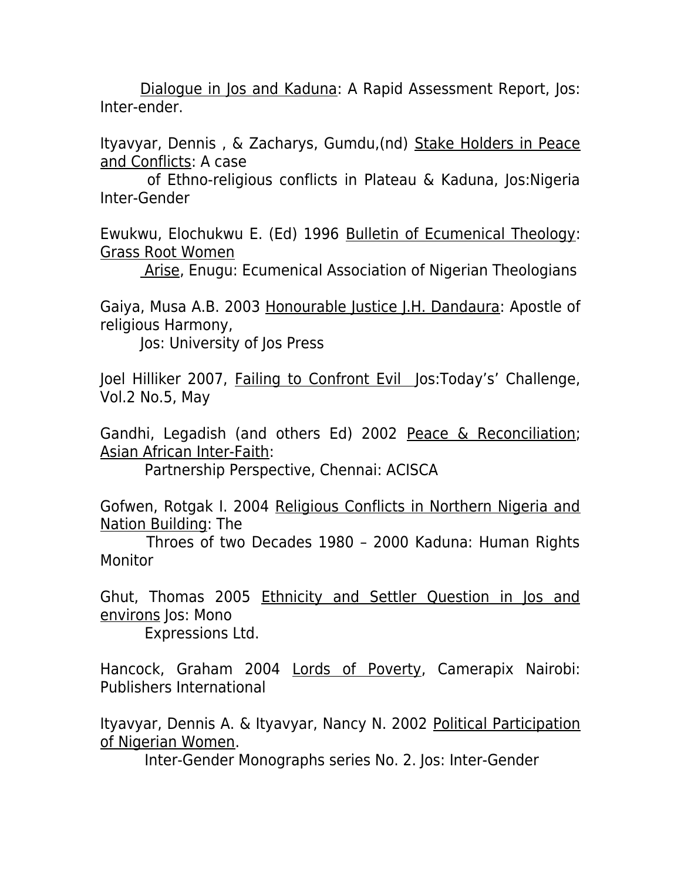Dialogue in Jos and Kaduna: A Rapid Assessment Report, Jos: Inter-ender.

Ityavyar, Dennis , & Zacharys, Gumdu,(nd) Stake Holders in Peace and Conflicts: A case

 of Ethno-religious conflicts in Plateau & Kaduna, Jos:Nigeria Inter-Gender

Ewukwu, Elochukwu E. (Ed) 1996 Bulletin of Ecumenical Theology: Grass Root Women

Arise, Enugu: Ecumenical Association of Nigerian Theologians

Gaiya, Musa A.B. 2003 Honourable Justice J.H. Dandaura: Apostle of religious Harmony,

Jos: University of Jos Press

Joel Hilliker 2007, Failing to Confront Evil Jos:Today's' Challenge, Vol.2 No.5, May

Gandhi, Legadish (and others Ed) 2002 Peace & Reconciliation; Asian African Inter-Faith:

Partnership Perspective, Chennai: ACISCA

Gofwen, Rotgak I. 2004 Religious Conflicts in Northern Nigeria and Nation Building: The

 Throes of two Decades 1980 – 2000 Kaduna: Human Rights Monitor

Ghut, Thomas 2005 Ethnicity and Settler Question in Jos and environs Jos: Mono

Expressions Ltd.

Hancock, Graham 2004 Lords of Poverty, Camerapix Nairobi: Publishers International

Ityavyar, Dennis A. & Ityavyar, Nancy N. 2002 Political Participation of Nigerian Women.

Inter-Gender Monographs series No. 2. Jos: Inter-Gender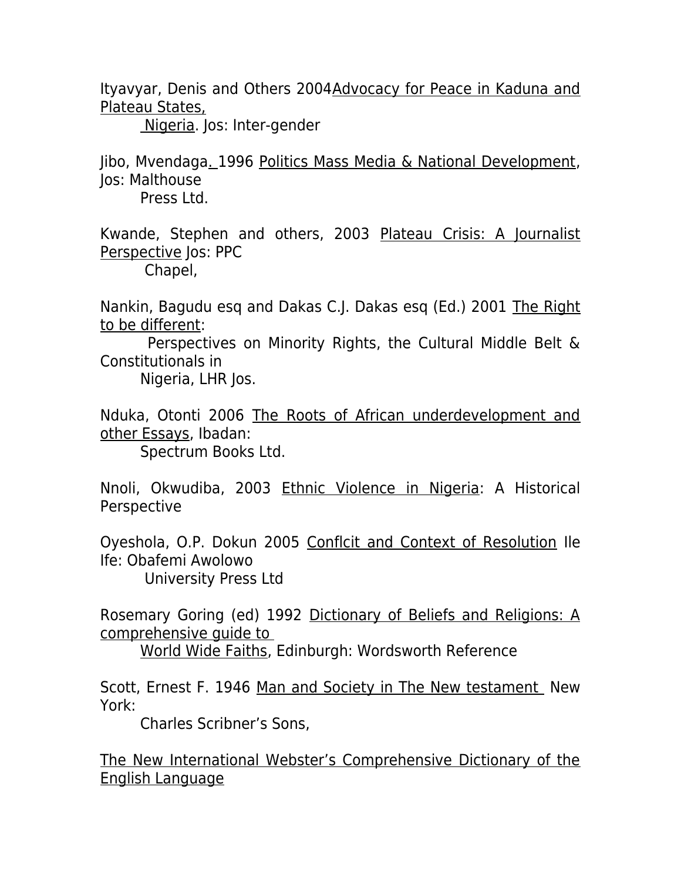Ityavyar, Denis and Others 2004Advocacy for Peace in Kaduna and Plateau States,

Nigeria. Jos: Inter-gender

Jibo, Mvendaga. 1996 Politics Mass Media & National Development, Jos: Malthouse

Press Ltd.

Kwande, Stephen and others, 2003 Plateau Crisis: A Journalist Perspective Jos: PPC

Chapel,

Nankin, Bagudu esq and Dakas C.J. Dakas esq (Ed.) 2001 The Right to be different:

 Perspectives on Minority Rights, the Cultural Middle Belt & Constitutionals in

Nigeria, LHR Jos.

Nduka, Otonti 2006 The Roots of African underdevelopment and other Essays, Ibadan:

Spectrum Books Ltd.

Nnoli, Okwudiba, 2003 Ethnic Violence in Nigeria: A Historical Perspective

Oyeshola, O.P. Dokun 2005 Conflcit and Context of Resolution Ile Ife: Obafemi Awolowo

University Press Ltd

Rosemary Goring (ed) 1992 Dictionary of Beliefs and Religions: A comprehensive guide to

World Wide Faiths, Edinburgh: Wordsworth Reference

Scott, Ernest F. 1946 Man and Society in The New testament New York:

Charles Scribner's Sons,

The New International Webster's Comprehensive Dictionary of the English Language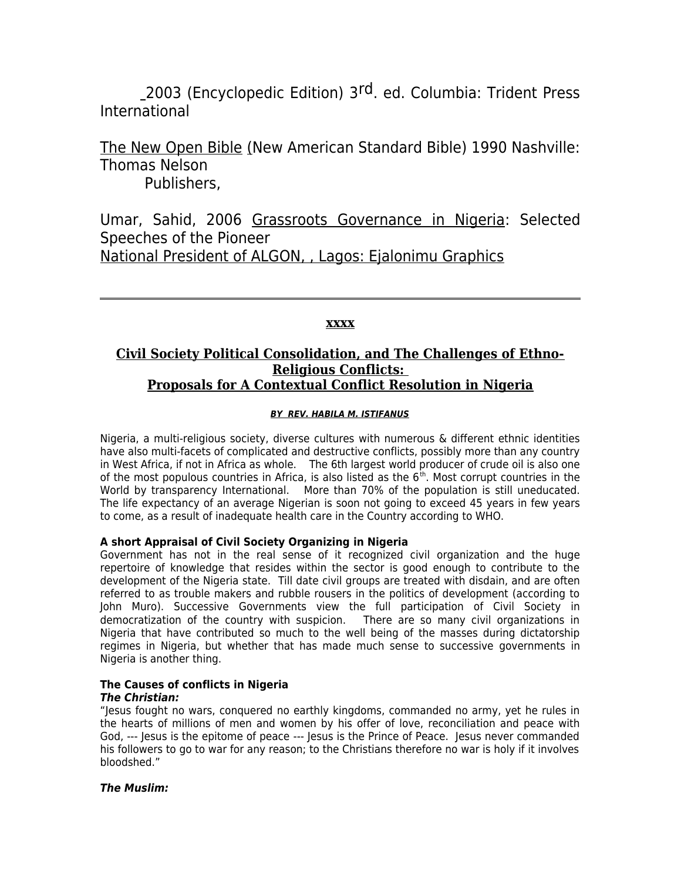2003 (Encyclopedic Edition) 3<sup>rd</sup>. ed. Columbia: Trident Press International

The New Open Bible (New American Standard Bible) 1990 Nashville: Thomas Nelson Publishers,

Umar, Sahid, 2006 Grassroots Governance in Nigeria: Selected Speeches of the Pioneer National President of ALGON, , Lagos: Ejalonimu Graphics

#### **xxxx**

### **Civil Society Political Consolidation, and The Challenges of Ethno-Religious Conflicts: Proposals for A Contextual Conflict Resolution in Nigeria**

#### **BY REV. HABILA M. ISTIFANUS**

Nigeria, a multi-religious society, diverse cultures with numerous & different ethnic identities have also multi-facets of complicated and destructive conflicts, possibly more than any country in West Africa, if not in Africa as whole. The 6th largest world producer of crude oil is also one of the most populous countries in Africa, is also listed as the  $6<sup>th</sup>$ . Most corrupt countries in the World by transparency International. More than 70% of the population is still uneducated. The life expectancy of an average Nigerian is soon not going to exceed 45 years in few years to come, as a result of inadequate health care in the Country according to WHO.

#### **A short Appraisal of Civil Society Organizing in Nigeria**

Government has not in the real sense of it recognized civil organization and the huge repertoire of knowledge that resides within the sector is good enough to contribute to the development of the Nigeria state. Till date civil groups are treated with disdain, and are often referred to as trouble makers and rubble rousers in the politics of development (according to John Muro). Successive Governments view the full participation of Civil Society in democratization of the country with suspicion. There are so many civil organizations in Nigeria that have contributed so much to the well being of the masses during dictatorship regimes in Nigeria, but whether that has made much sense to successive governments in Nigeria is another thing.

# **The Causes of conflicts in Nigeria**

**The Christian:**

"Jesus fought no wars, conquered no earthly kingdoms, commanded no army, yet he rules in the hearts of millions of men and women by his offer of love, reconciliation and peace with God, --- Jesus is the epitome of peace --- Jesus is the Prince of Peace. Jesus never commanded his followers to go to war for any reason; to the Christians therefore no war is holy if it involves bloodshed."

#### **The Muslim:**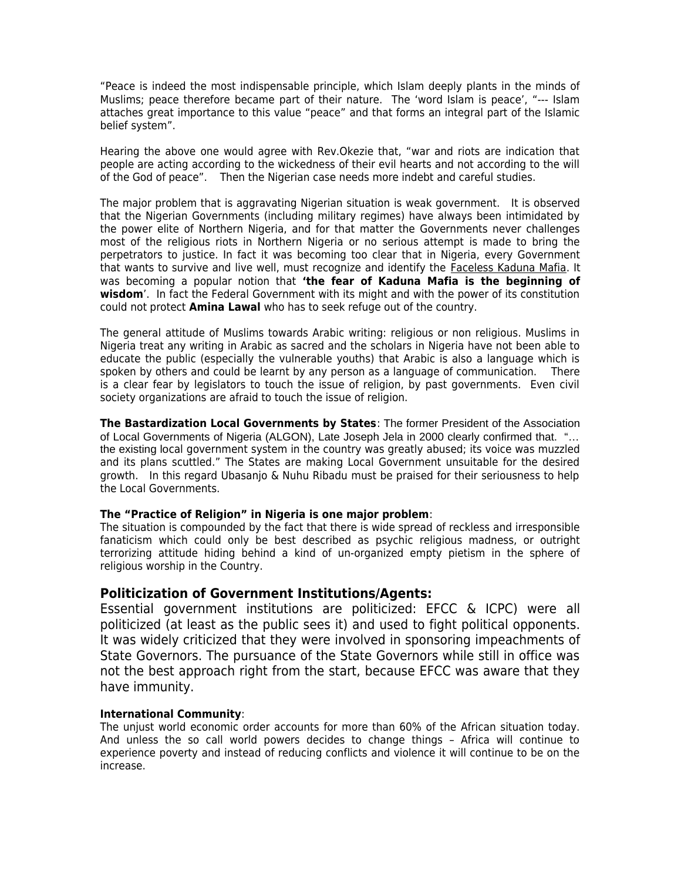"Peace is indeed the most indispensable principle, which Islam deeply plants in the minds of Muslims; peace therefore became part of their nature. The 'word Islam is peace', "--- Islam attaches great importance to this value "peace" and that forms an integral part of the Islamic belief system".

Hearing the above one would agree with Rev.Okezie that, "war and riots are indication that people are acting according to the wickedness of their evil hearts and not according to the will of the God of peace". Then the Nigerian case needs more indebt and careful studies.

The major problem that is aggravating Nigerian situation is weak government. It is observed that the Nigerian Governments (including military regimes) have always been intimidated by the power elite of Northern Nigeria, and for that matter the Governments never challenges most of the religious riots in Northern Nigeria or no serious attempt is made to bring the perpetrators to justice. In fact it was becoming too clear that in Nigeria, every Government that wants to survive and live well, must recognize and identify the Faceless Kaduna Mafia. It was becoming a popular notion that **'the fear of Kaduna Mafia is the beginning of wisdom**'. In fact the Federal Government with its might and with the power of its constitution could not protect **Amina Lawal** who has to seek refuge out of the country.

The general attitude of Muslims towards Arabic writing: religious or non religious. Muslims in Nigeria treat any writing in Arabic as sacred and the scholars in Nigeria have not been able to educate the public (especially the vulnerable youths) that Arabic is also a language which is spoken by others and could be learnt by any person as a language of communication. There is a clear fear by legislators to touch the issue of religion, by past governments. Even civil society organizations are afraid to touch the issue of religion.

**The Bastardization Local Governments by States**: The former President of the Association of Local Governments of Nigeria (ALGON), Late Joseph Jela in 2000 clearly confirmed that. "… the existing local government system in the country was greatly abused; its voice was muzzled and its plans scuttled." The States are making Local Government unsuitable for the desired growth. In this regard Ubasanjo & Nuhu Ribadu must be praised for their seriousness to help the Local Governments.

#### **The "Practice of Religion" in Nigeria is one major problem**:

The situation is compounded by the fact that there is wide spread of reckless and irresponsible fanaticism which could only be best described as psychic religious madness, or outright terrorizing attitude hiding behind a kind of un-organized empty pietism in the sphere of religious worship in the Country.

### **Politicization of Government Institutions/Agents:**

Essential government institutions are politicized: EFCC & ICPC) were all politicized (at least as the public sees it) and used to fight political opponents. It was widely criticized that they were involved in sponsoring impeachments of State Governors. The pursuance of the State Governors while still in office was not the best approach right from the start, because EFCC was aware that they have immunity.

#### **International Community**:

The unjust world economic order accounts for more than 60% of the African situation today. And unless the so call world powers decides to change things – Africa will continue to experience poverty and instead of reducing conflicts and violence it will continue to be on the increase.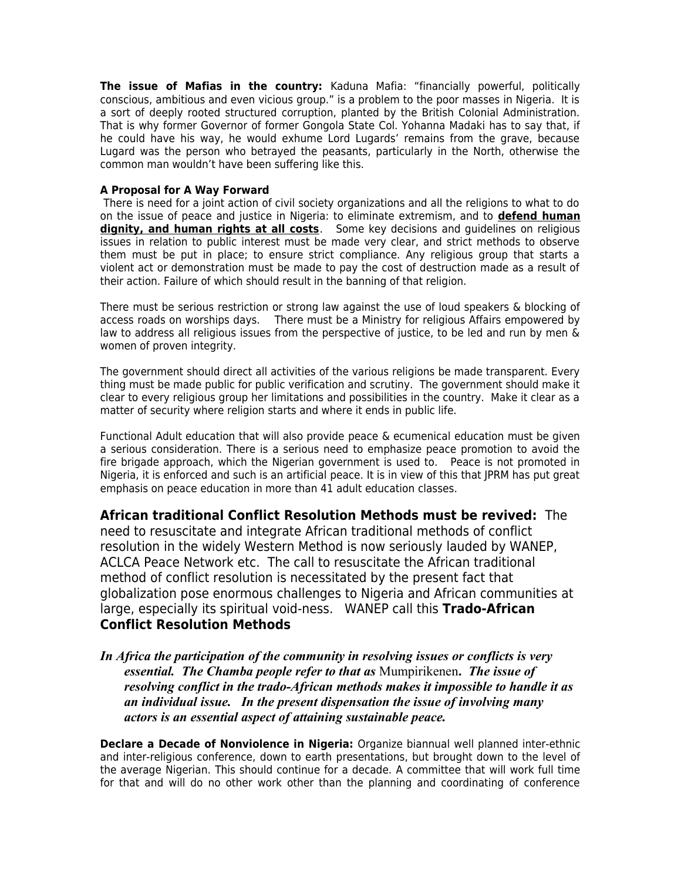**The issue of Mafias in the country:** Kaduna Mafia: "financially powerful, politically conscious, ambitious and even vicious group." is a problem to the poor masses in Nigeria. It is a sort of deeply rooted structured corruption, planted by the British Colonial Administration. That is why former Governor of former Gongola State Col. Yohanna Madaki has to say that, if he could have his way, he would exhume Lord Lugards' remains from the grave, because Lugard was the person who betrayed the peasants, particularly in the North, otherwise the common man wouldn't have been suffering like this.

#### **A Proposal for A Way Forward**

 There is need for a joint action of civil society organizations and all the religions to what to do on the issue of peace and justice in Nigeria: to eliminate extremism, and to **defend human dignity, and human rights at all costs**. Some key decisions and guidelines on religious issues in relation to public interest must be made very clear, and strict methods to observe them must be put in place; to ensure strict compliance. Any religious group that starts a violent act or demonstration must be made to pay the cost of destruction made as a result of their action. Failure of which should result in the banning of that religion.

There must be serious restriction or strong law against the use of loud speakers & blocking of access roads on worships days. There must be a Ministry for religious Affairs empowered by law to address all religious issues from the perspective of justice, to be led and run by men & women of proven integrity.

The government should direct all activities of the various religions be made transparent. Every thing must be made public for public verification and scrutiny. The government should make it clear to every religious group her limitations and possibilities in the country. Make it clear as a matter of security where religion starts and where it ends in public life.

Functional Adult education that will also provide peace & ecumenical education must be given a serious consideration. There is a serious need to emphasize peace promotion to avoid the fire brigade approach, which the Nigerian government is used to. Peace is not promoted in Nigeria, it is enforced and such is an artificial peace. It is in view of this that JPRM has put great emphasis on peace education in more than 41 adult education classes.

**African traditional Conflict Resolution Methods must be revived:** The need to resuscitate and integrate African traditional methods of conflict resolution in the widely Western Method is now seriously lauded by WANEP, ACLCA Peace Network etc. The call to resuscitate the African traditional method of conflict resolution is necessitated by the present fact that globalization pose enormous challenges to Nigeria and African communities at large, especially its spiritual void-ness. WANEP call this **Trado-African Conflict Resolution Methods**

*In Africa the participation of the community in resolving issues or conflicts is very essential. The Chamba people refer to that as* Mumpirikenen**.** *The issue of resolving conflict in the trado-African methods makes it impossible to handle it as an individual issue. In the present dispensation the issue of involving many actors is an essential aspect of attaining sustainable peace.*

**Declare a Decade of Nonviolence in Nigeria:** Organize biannual well planned inter-ethnic and inter-religious conference, down to earth presentations, but brought down to the level of the average Nigerian. This should continue for a decade. A committee that will work full time for that and will do no other work other than the planning and coordinating of conference